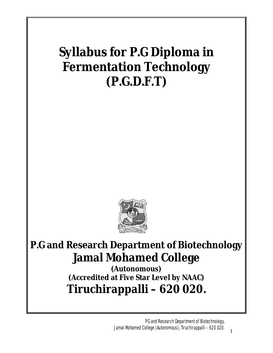# **Syllabus for P.G Diploma in Fermentation Technology (P.G.D.F.T)**



# **P.G and Research Department of Biotechnology Jamal Mohamed College**

**(Autonomous) (Accredited at Five Star Level by NAAC) Tiruchirappalli – 620 020.**

> PG and Research Department of Biotechnology, Jamal Mohamed College (Autonomous), Tiruchirappalli – 620 020.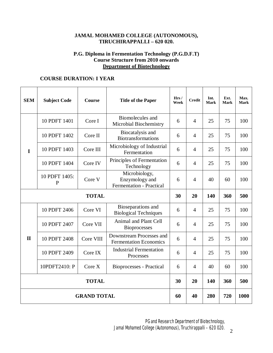# **JAMAL MOHAMED COLLEGE (AUTONOMOUS), TIRUCHIRAPPALLI – 620 020.**

# **P.G. Diploma in Fermentation Technology (P.G.D.F.T) Course Structure from 2010 onwards Department of Biotechnology**

# **COURSE DURATION: I YEAR**

| <b>SEM</b>         | <b>Subject Code</b>           | <b>Course</b> | <b>Title of the Paper</b>                                          | Hrs/<br>Week | <b>Credit</b>  | Int.<br>Mark | Ext.<br>Mark | Max.<br><b>Mark</b> |
|--------------------|-------------------------------|---------------|--------------------------------------------------------------------|--------------|----------------|--------------|--------------|---------------------|
| $\mathbf I$        | 10 PDFT 1401                  | Core I        | Biomolecules and<br>Microbial Biochemistry                         | 6            | $\overline{4}$ | 25           | 75           | 100                 |
|                    | 10 PDFT 1402                  | Core II       | Biocatalysis and<br><b>Biotransformations</b>                      | 6            | $\overline{4}$ | 25           | 75           | 100                 |
|                    | 10 PDFT 1403                  | Core III      | Microbiology of Industrial<br>Fermentation                         | 6            | $\overline{4}$ | 25           | 75           | 100                 |
|                    | 10 PDFT 1404                  | Core IV       | Principles of Fermentation<br>Technology                           | 6            | $\overline{4}$ | 25           | 75           | 100                 |
|                    | 10 PDFT 1405:<br>$\mathbf{P}$ | Core V        | Microbiology,<br>Enzymology and<br><b>Fermentation - Practical</b> | 6            | $\overline{4}$ | 40           | 60           | 100                 |
| <b>TOTAL</b>       |                               |               |                                                                    | 30           | 20             | 140          | 360          | 500                 |
| $\mathbf{I}$       | 10 PDFT 2406                  | Core VI       | Bioseparations and<br><b>Biological Techniques</b>                 | 6            | $\overline{4}$ | 25           | 75           | 100                 |
|                    | 10 PDFT 2407                  | Core VII      | Animal and Plant Cell<br><b>Bioprocesses</b>                       | 6            | $\overline{4}$ | 25           | 75           | 100                 |
|                    | 10 PDFT 2408                  | Core VIII     | Downstream Processes and<br><b>Fermentation Economics</b>          | 6            | $\overline{4}$ | 25           | 75           | 100                 |
|                    | 10 PDFT 2409                  | Core IX       | <b>Industrial Fermentation</b><br>Processes                        | 6            | $\overline{4}$ | 25           | 75           | 100                 |
|                    | 10PDFT2410: P                 | Core X        | <b>Bioprocesses</b> - Practical                                    | 6            | $\overline{4}$ | 40           | 60           | 100                 |
| <b>TOTAL</b>       |                               |               |                                                                    | 30           | 20             | 140          | 360          | 500                 |
| <b>GRAND TOTAL</b> |                               |               |                                                                    | 60           | 40             | 280          | 720          | 1000                |

PG and Research Department of Biotechnology, Jamal Mohamed College (Autonomous), Tiruchirappalli – 620 020.  $2$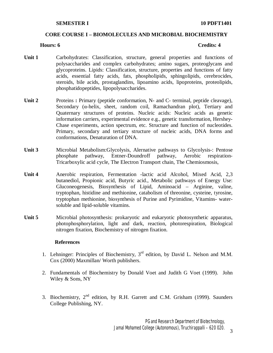### **SEMESTER I** 10 **PDFT1401**

# **CORE COURSE I – BIOMOLECULES AND MICROBIAL BIOCHEMISTRY**

### **Hours: 6 Credits: 4**

- Unit 1 Carbohydrates: Classification, structure, general properties and functions of polysaccharides and complex carbohydrates; amino sugars, proteoglycans and glycoproteins. Lipids: Classification, structure, properties and functions of fatty acids, essential fatty acids, fats, phospholipids, sphingolipids, cerebrocides, steroids, bile acids, prostaglandins, lipoamino acids, lipoproteins, proteolipids, phosphatidopeptides, lipopolysaccharides.
- Unit 2 Proteins : Primary (peptide conformation, N- and C- terminal, peptide cleavage), Secondary (α-helix, sheet, random coil, Ramachandran plot), Tertiary and Quaternary structures of proteins. Nucleic acids: Nucleic acids as genetic information carriers, experimental evidence e.g., genetic transformation, Hershey-Chase experiments, action spectrum, etc. Structure and function of nucleotides. Primary, secondary and tertiary structure of nucleic acids, DNA forms and conformations, Denaturation of DNA.
- **Unit 3** Microbial Metabolism:Glycolysis, Alernative pathways to Glycolysis-: Pentose phosphate pathway, Entner-Doundroff pathway, Aerobic respiration-Tricarboxylic acid cycle, The Electron Transport chain, The Chemiosmosis,
- **Unit 4** Anerobic respiration, Fermentation -lactic acid Alcohol, Mixed Acid, 2,3 butanediol, Propionic acid, Butyric acid., Metabolic pathways of Energy Use: Gluconeogenesis, Biosynthesis of Lipid, Aminoacid – Arginine, valine, tryptophan, histidine and methionine, catabolism of threonine, cysteine, tyrosine, tryptophan methionine, biosynthesis of Purine and Pyrimidine, Vitamins- watersoluble and lipid-soluble vitamins.
- **Unit 5** Microbial photosynthesis: prokaryotic and eukaryotic photosynthetic apparatus, photophosphorylation, light and dark, reaction, photorespiration, Biological nitrogen fixation, Biochemistry of nitrogen fixation.

- 1. Lehninger: Principles of Biochemistry, 3rd edition, by David L. Nelson and M.M. Cox (2000) Maxmillan/ Worth publishers.
- 2. Fundamentals of Biochemistry by Donald Voet and Judith G Voet (1999). John Wiley & Sons, NY
- 3. Biochemistry, 2nd edition, by R.H. Garrett and C.M. Grisham (1999). Saunders College Publishing, NY.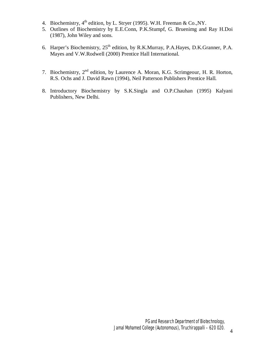- 4. Biochemistry, 4<sup>th</sup> edition, by L. Stryer (1995). W.H. Freeman & Co., NY.
- 5. Outlines of Biochemistry by E.E.Conn, P.K.Stumpf, G. Bruenimg and Ray H.Doi (1987), John Wiley and sons.
- 6. Harper's Biochemistry, 25<sup>th</sup> edition, by R.K.Murray, P.A.Hayes, D.K.Granner, P.A. Mayes and V.W.Rodwell (2000) Prentice Hall International.
- 7. Biochemistry, 2nd edition, by Laurence A. Moran, K.G. Scrimgeour, H. R. Horton, R.S. Ochs and J. David Rawn (1994), Neil Patterson Publishers Prentice Hall.
- 8. Introductory Biochemistry by S.K.Singla and O.P.Chauhan (1995) Kalyani Publishers, New Delhi.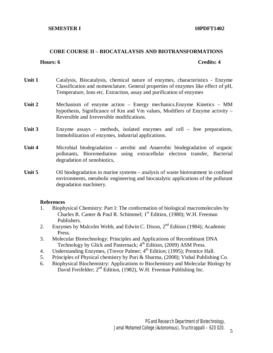## **CORE COURSE II – BIOCATALAYSIS AND BIOTRANSFORMATIONS**

### **Hours: 6 Credits: 4**

- **Unit 1** Catalysis, Biocatalysis, chemical nature of enzymes, characteristics Enzyme Classification and nomenclature. General properties of enzymes like effect of pH, Temperature, Ions etc. Extraction, assay and purification of enzymes
- **Unit 2** Mechanism of enzyme action Energy mechanics.Enzyme Kinetics MM hypothesis, Significance of Km and Vm values, Modifiers of Enzyme activity – Reversible and Irreversible modifications.
- Unit 3 Enzyme assays methods, isolated enzymes and cell free preparations, Immobilization of enzymes, industrial applications.
- **Unit 4** Microbial biodegradation aerobic and Anaerobic biodegradation of organic pollutants, Bioremediation using extracellular electron transfer, Bacterial degradation of xenobiotics,
- Unit 5 Oil biodegradation in marine systems analysis of waste biotreatment in confined environments, metabolic engineering and biocatalytic applications of the pollutant degradation machinery.

- 1. Biophysical Chemistry: Part I: The conformation of biological macromolecules by Charles R. Canter & Paul R. Schimmel;  $1<sup>st</sup>$  Edition, (1980); W.H. Freeman Publishers.
- 2. Enzymes by Malcolm Webb, and Edwin C. Dixon,  $2<sup>nd</sup>$  Edition (1984); Academic Press.
- 3. Molecular Biotechnology: Principles and Applications of Recombinant DNA Technology by Glick and Pasternack; 4<sup>th</sup> Edition, (2009) ASM Press.
- 4. Understanding Enzymes, (Trevor Palmer;  $4<sup>th</sup>$  Edition; (1995); Prentice Hall.
- 5. Principles of Physical chemistry by Puri & Sharma, (2008); Vishal Publishing Co.
- 6. Biophysical Biochemistry: Applications to Biochemistry and Molecular Biology by David Freifelder; 2<sup>nd</sup> Edition, (1982), W.H. Freeman Publishing Inc.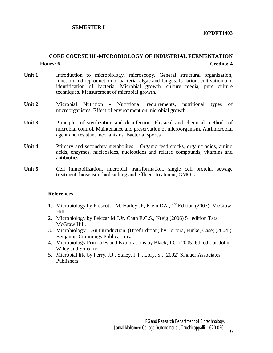# **SEMESTER I**

**10PDFT1403** 

# **CORE COURSE III -MICROBIOLOGY OF INDUSTRIAL FERMENTATION Hours: 6 Credits: 4**

- Unit 1 **Introduction** to microbiology, microscopy, General structural organization, function and reproduction of bacteria, algae and fungus. Isolation, cultivation and identification of bacteria. Microbial growth, culture media, pure culture techniques. Measurement of microbial growth.
- **Unit 2** Microbial Nutrition Nutritional requirements, nutritional types of microorganisms. Effect of environment on microbial growth.
- Unit 3 Principles of sterilization and disinfection. Physical and chemical methods of microbial control. Maintenance and preservation of microorganism, Antimicrobial agent and resistant mechanisms. Bacterial spores.
- **Unit 4** Primary and secondary metabolites Organic feed stocks, organic acids, amino acids, enzymes, nucleosides, nucleotides and related compounds, vitamins and antibiotics.
- Unit 5 Cell immobilization, microbial transformation, single cell protein, sewage treatment, biosensor, bioleaching and effluent treatment, GMO's

- 1. Microbiology by Prescott LM, Harley JP, Klein DA.;  $1<sup>st</sup>$  Edition (2007); McGraw Hill.
- 2. Microbiology by Pelczar M.J.Jr. Chan E.C.S., Kreig (2006)  $5<sup>th</sup>$  edition Tata McGraw Hill.
- 3. Microbiology An Introduction (Brief Edition) by Tortora, Funke, Case; (2004); Benjamin-Cummings Publications.
- 4. Microbiology Principles and Explorations by Black, J.G. (2005) 6th edition John Wiley and Sons Inc.
- 5. Microbial life by Perry, J.J., Staley, J.T., Lory, S., (2002) Sinauer Associates Publishers.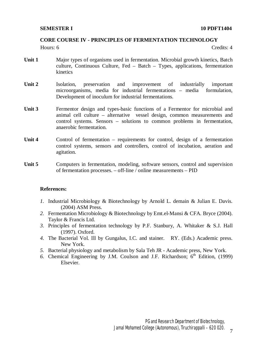# **CORE COURSE IV - PRINCIPLES OF FERMENTATION TECHNOLOGY**

Hours: 6 Credits: 4

- **Unit 1** Major types of organisms used in fermentation. Microbial growth kinetics, Batch culture, Continuous Culture, Fed – Batch – Types, applications, fermentation kinetics
- **Unit 2** Isolation, preservation and improvement of industrially important microorganisms, media for industrial fermentations – media formulation, Development of inoculum for industrial fermentations.
- Unit 3 Fermentor design and types-basic functions of a Fermentor for microbial and animal cell culture – alternative vessel design, common measurements and control systems. Sensors – solutions to common problems in fermentation, anaerobic fermentation.
- Unit 4 Control of fermentation requirements for control, design of a fermentation control systems, sensors and controllers, control of incubation, aeration and agitation.
- Unit 5 Computers in fermentation, modeling, software sensors, control and supervision of fermentation processes. – off-line / online measurements – PID

- *1.* Industrial Microbiology & Biotechnology by Arnold L. demain & Julian E. Davis. (2004) ASM Press.
- *2.* Fermentation Microbiology & Biotechnology by Emt.el-Mansi & CFA. Bryce (2004). Taylor & Francis Ltd.
- *3.* Principles of fermentation technology by P.F. Stanbury, A. Whitaker & S.J. Hall (1997). Oxford.
- *4.* The Bacterial Vol. Ill by Gungalus, I.C. and stainer. RY. (Eds.) Academic press. New York.
- *5.* Bacterial physiology and metabolism by Sala Teh JR Academic press, New York.
- 6. Chemical Engineering by J.M. Coulson and J.F. Richardson;  $6<sup>th</sup>$  Edition, (1999) Elsevier.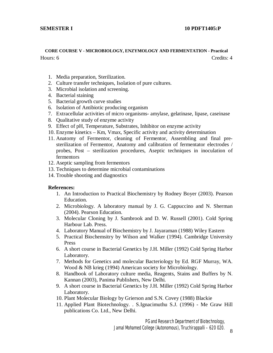#### **SEMESTER I** 10 **PDFT1405:P**

# **CORE COURSE V - MICROBIOLOGY, ENZYMOLOGY AND FERMENTATION - Practical**  Hours: 6 Credits: 4

- 1. Media preparation, Sterilization.
- 2. Culture transfer techniques, Isolation of pure cultures.
- 3. Microbial isolation and screening.
- 4. Bacterial staining
- 5. Bacterial growth curve studies
- 6. Isolation of Antibiotic producing organism
- 7. Extracellular activities of micro organisms- amylase, gelatinase, lipase, caseinase
- 8. Qualitative study of enzyme activity
- 9. Effect of pH, Temperature, Substrates, Inhibitor on enzyme activity
- 10. Enzyme kinetics Km, Vmax, Specific activity and activity determination
- 11. Anatomy of Fermentor, cleaning of Fermentor, Assembling and final presterilization of Fermentor, Anatomy and calibration of fermentator electrodes / probes, Post – sterilization procedures, Aseptic techniques in inoculation of fermentors
- 12. Aseptic sampling from fermentors
- 13. Techniques to determine microbial contaminations
- 14. Trouble shooting and diagnostics

#### **References:**

- 1. An Introduction to Practical Biochemistry by Rodney Boyer (2003). Pearson Education.
- 2. Microbiology. A laboratory manual by J. G. Cappuccino and N. Sherman (2004). Pearson Education.
- 3. Molecular Cloning by J. Sambrook and D. W. Russell (2001). Cold Spring Harbour Lab. Press.
- 4. Laboratory Manual of Biochemistry by J. Jayaraman (1988) Wiley Eastern
- 5. Practical Biochemsitry by Wilson and Walker (1994). Cambridge University Press
- 6. A short course in Bacterial Genetics by J.H. Miller (1992) Cold Spring Harbor Laboratory.
- 7. Methods for Genetics and molecular Bacteriology by Ed. RGF Murray, WA. Wood & NB krieg (1994) American society for Microbiology.
- 8. Handbook of Laboratory culture media, Reagents, Stains and Buffers by N. Kannan (2003), Panima Publishers, New Delhi.
- 9. A short course in Bacterial Genetics by J.H. Miller (1992) Cold Spring Harbor Laboratory.
- 10. Plant Molecular Biology by Grierson and S.N. Covey (1988) Blackie
- 11. Applied Plant Biotechnology. . S.Ignacimuthu S.J. (1996) Me Graw Hill publications Co. Ltd., New Delhi.

PG and Research Department of Biotechnology,

Jamal Mohamed College (Autonomous), Tiruchirappalli – 620 020.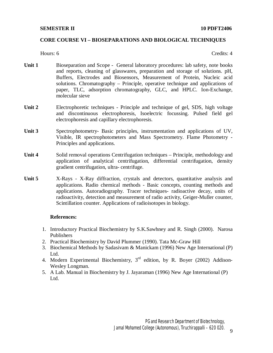# **CORE COURSE VI – BIOSEPARATIONS AND BIOLOGICAL TECHNIQUES**

# Hours: 6 Credits: 4

- **Unit 1** Bioseparation and Scope General laboratory procedures: lab safety, note books and reports, cleaning of glasswares, preparation and storage of solutions. pH, Buffers, Electrodes and Biosensors, Measurement of Protein, Nucleic acid solutions. Chromatography – Principle, operative technique and applications of paper, TLC, adsorption chromatography, GLC, and HPLC. Ion-Exchange, molecular sieve
- **Unit 2** Electrophoretic techniques Principle and technique of gel, SDS, high voltage and discontinuous electrophoresis, Isoelectric focussing. Pulsed field gel electrophoresis and capillary electrophoresis.
- Unit **3** Spectrophotometry- Basic principles, instrumentation and applications of UV, Visible, IR spectrophotometers and Mass Spectrometry. Flame Photometry - Principles and applications.
- **Unit 4** Solid removal operations Centrifugation techniques Principle, methodology and application of analytical centrifugation, differential centrifugation, density gradient centrifugation, ultra- centrifuge.
- **Unit 5** X-Rays X-Ray diffraction, crystals and detectors, quantitative analysis and applications. Radio chemical methods - Basic concepts, counting methods and applications. Autoradiography. Tracer techniques- radioactive decay, units of radioactivity, detection and measurement of radio activity, Geiger-Muller counter, Scintillation counter. Applications of radioisotopes in biology.

- 1. Introductory Practical Biochemistry by S.K.Sawhney and R. Singh (2000). Narosa Publishers
- 2. Practical Biochemistry by David Plummer (1990). Tata Mc-Graw Hill
- 3. Biochemical Methods by Sadasivam & Manickam (1996) New Age International (P) Ltd.
- 4. Modern Experimental Biochemistry, 3rd edition, by R. Boyer (2002) Addison-Wesley Longman.
- 5. A Lab. Manual in Biochemistry by J. Jayaraman (1996) New Age International (P) Ltd.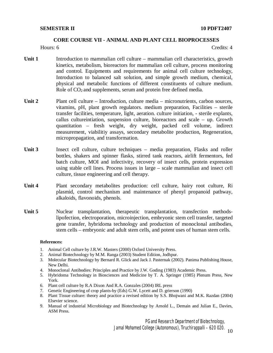### **CORE COURSE VII - ANIMAL AND PLANT CELL BIOPROCESSES**

Hours: 6 Credits: 4

- **Unit 1** Introduction to mammalian cell culture mammalian cell characteristics, growth kinetics, metabolism, bioreactors for mammalian cell culture, process monitoring and control. Equipments and requirements for animal cell culture technology, Introduction to balanced salt solution, and simple growth medium, chemical, physical and metabolic functions of different constituents of culture medium. Role of CO<sub>2</sub> and supplements, serum and protein free defined media.
- **Unit 2** Plant cell culture Introduction, culture media micronutrients, carbon sources, vitamins, pH, plant growth regulators. medium preparation, Facilities – sterile transfer facilities, temperature, light, aeration. culture initiation, - sterile explants, callus cultureintiation, suspension culture, bioreactors and scale – up. Growth quantitation – fresh weight, dry weight, packed cell volume, indirect measurement, viabilitiy assays, secondary metabolite production, Regeneration, micropropagation, and transformation.
- Unit 3 **Insect cell culture, culture techniques media preparation, Flasks and roller** bottles, shakers and spinner flasks, stirred tank reactors, airlift fermentors, fed batch culture, MOI and infectivity, recovery of insect cells, protein expression using stable cell lines. Process issues in large – scale mammalian and insect cell culture, tissue engineering and cell therapy.
- **Unit 4** Plant secondary metabolites production: cell culture, hairy root culture, Ri plasmid, control mechanism and maintenance of phenyl propanoid pathway, alkaloids, flavonoids, phenols.
- Unit 5 **Nuclear** transplantation, therapeutic transplantation, transfection methodslipofection, electroporation, microinjection, embryonic stem cell transfer, targeted gene transfer, hybridoma technology and production of monoclonal antibodies, stem cells – embryonic and adult stem cells, and potent uses of human stem cells.

#### **References:**

- 1. Animal Cell culture by J.R.W. Masters (2000) Oxford University Press.
- 2. Animal Biotechnology by M.M. Ranga (2003) Student Edition, Jodhpur.
- 3. Molecular Biotechnology by Bernard R. Glick and Jack J. Pasternak (2002). Panima Publishing House, New Delhi.
- 4. Monoclonal Antibodies: Principles and Practice by J.W. Goding (1983) Academic Press.
- 5. Hybridoma Technology in Biosciences and Medicine by T. A. Springer (1985) Plenum Press, New York.
- 6. Plant cell culture by R.A Dixon And R.A. Gonzales (2004) IRL press
- 7. Genetic Engineering of crop plants-by (Eds) G.W. Lycett and D. grierson (1990)
- 8. Plant Tissue culture: theory and practice a revised edition by S.S. Bhojwani and M.K. Razdan (2004) Elsevier science.
- 9. Manual of industrial Microbiology and Biotechnology by Arnold L., Demain and Julian E., Davies, ASM Press.

PG and Research Department of Biotechnology,

Jamal Mohamed College (Autonomous), Tiruchirappalli – 620 020.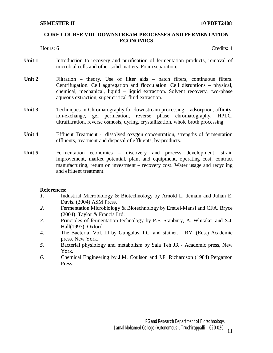# **CORE COURSE VIII- DOWNSTREAM PROCESSES AND FERMENTATION ECONOMICS**

Hours: 6 Credits: 4

- Unit 1 **Introduction to recovery and purification of fermentation products, removal of** microbial cells and other solid matters. Foam separation.
- **Unit 2** Filtration theory. Use of filter aids batch filters, continuous filters. Centrifugation. Cell aggregation and flocculation. Cell disruptions – physical, chemical, mechanical, liquid – liquid extraction. Solvent recovery, two-phase aqueous extraction, super critical fluid extraction.
- Unit **3 Techniques in Chromatography for downstream processing adsorption, affinity,** ion-exchange, gel permeation, reverse phase chromatography, HPLC, ultrafiltration, reverse osmosis, dyring, crystallization, whole broth processing.
- **Unit 4** Effluent Treatment dissolved oxygen concentration, strengths of fermentation effluents, treatment and disposal of effluents, by-products.
- Unit 5 **Fermentation** economics discovery and process development, strain improvement, market potential, plant and equipment, operating cost, contract manufacturing, return on investment – recovery cost. Water usage and recycling and effluent treatment.

- *1.* Industrial Microbiology & Biotechnology by Arnold L. demain and Julian E. Davis. (2004) ASM Press.
- *2.* Fermentation Microbiology & Biotechnology by Emt.el-Mansi and CFA. Bryce (2004). Taylor & Francis Ltd.
- *3.* Principles of fermentation technology by P.F. Stanbury, A. Whitaker and S.J. Hall(1997). Oxford.
- *4.* The Bacterial Vol. Ill by Gungalus, I.C. and stainer. RY. (Eds.) Academic press. New York.
- *5.* Bacterial physiology and metabolism by Sala Teh JR Academic press, New York.
- *6.* Chemical Engineering by J.M. Coulson and J.F. Richardson (1984) Pergamon Press.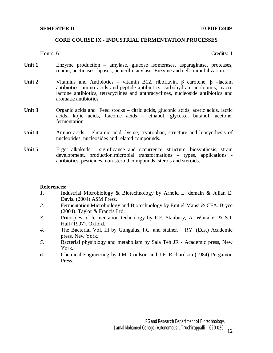## **CORE COURSE IX - INDUSTRIAL FERMENTATION PROCESSES**

Hours: 6 Credits: 4

- **Unit 1** Enzyme production amylase, glucose isomerases, asparaginase, proteases, rennin, pectinases, lipases, penicillin acylase. Enzyme and cell immobilization.
- **Unit 2** Vitamins and Antibiotics vitamin B12, riboflavin, β carotene, β –lactam antibiotics, amino acids and peptide antibiotics, carbohydrate antibiotics, macro lactone antibiotics, tetracyclines and anthracyclines, nucleoside antibiotics and aromatic antibiotics.
- Unit **3** Organic acids and Feed stocks citric acids, gluconic acids, acetic acids, lactic acids, kojic acids, Itaconic acids – ethanol, glycerol, butanol, acetone, fermentation.
- **Unit 4** Amino acids glutamic acid, lysine, tryptophan, structure and biosynthesis of nucleotides, nucleosides and related compounds.
- **Unit 5 Ergot** alkaloids significance and occurrence, structure, biosynthesis, strain development, production.microbial transformations – types, applications antibiotics, pesticides, non-steroid compounds, sterols and steroids.

- *1.* Industrial Microbiology & Biotechnology by Arnold L. demain & Julian E. Davis. (2004) ASM Press.
- *2.* Fermentation Microbiology and Biotechnology by Emt.el-Mansi & CFA. Bryce (2004). Taylor & Francis Ltd.
- *3.* Principles of fermentation technology by P.F. Stanbury, A. Whitaker & S.J. Hall (1997). Oxford.
- *4.* The Bacterial Vol. Ill by Gungalus, I.C. and stainer. RY. (Eds.) Academic press. New York.
- *5.* Bacterial physiology and metabolism by Sala Teh JR Academic press, New York..
- *6.* Chemical Engineering by J.M. Coulson and J.F. Richardson (1984) Pergamon Press.